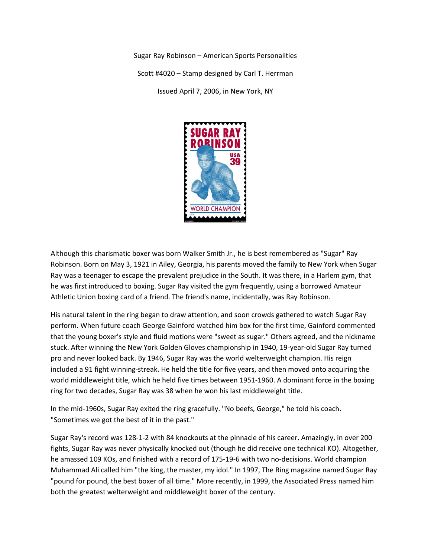Sugar Ray Robinson – American Sports Personalities Scott #4020 – Stamp designed by Carl T. Herrman Issued April 7, 2006, in New York, NY



Although this charismatic boxer was born Walker Smith Jr., he is best remembered as "Sugar" Ray Robinson. Born on May 3, 1921 in Ailey, Georgia, his parents moved the family to New York when Sugar Ray was a teenager to escape the prevalent prejudice in the South. It was there, in a Harlem gym, that he was first introduced to boxing. Sugar Ray visited the gym frequently, using a borrowed Amateur Athletic Union boxing card of a friend. The friend's name, incidentally, was Ray Robinson.

His natural talent in the ring began to draw attention, and soon crowds gathered to watch Sugar Ray perform. When future coach George Gainford watched him box for the first time, Gainford commented that the young boxer's style and fluid motions were "sweet as sugar." Others agreed, and the nickname stuck. After winning the New York Golden Gloves championship in 1940, 19-year-old Sugar Ray turned pro and never looked back. By 1946, Sugar Ray was the world welterweight champion. His reign included a 91 fight winning-streak. He held the title for five years, and then moved onto acquiring the world middleweight title, which he held five times between 1951-1960. A dominant force in the boxing ring for two decades, Sugar Ray was 38 when he won his last middleweight title.

In the mid-1960s, Sugar Ray exited the ring gracefully. "No beefs, George," he told his coach. "Sometimes we got the best of it in the past."

Sugar Ray's record was 128-1-2 with 84 knockouts at the pinnacle of his career. Amazingly, in over 200 fights, Sugar Ray was never physically knocked out (though he did receive one technical KO). Altogether, he amassed 109 KOs, and finished with a record of 175-19-6 with two no-decisions. World champion Muhammad Ali called him "the king, the master, my idol." In 1997, The Ring magazine named Sugar Ray "pound for pound, the best boxer of all time." More recently, in 1999, the Associated Press named him both the greatest welterweight and middleweight boxer of the century.